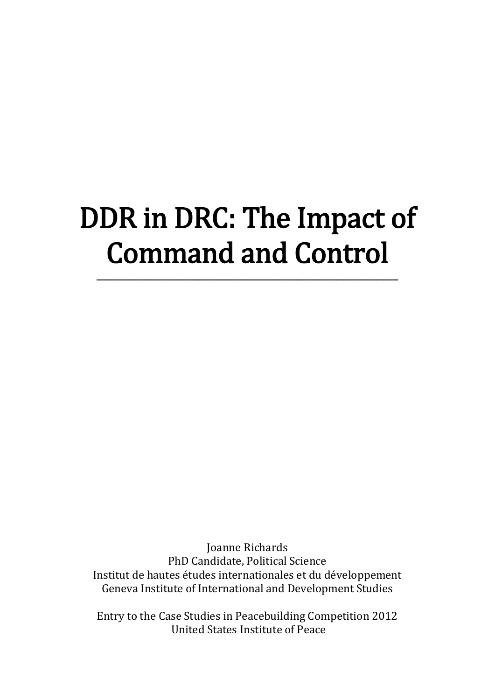# DDR in DRC: The Impact of Command and Control

\_\_\_\_\_\_\_\_\_\_\_\_\_\_\_\_\_\_\_\_\_\_\_\_\_\_\_\_\_\_\_\_\_\_\_\_\_\_\_\_\_\_\_\_\_\_\_\_\_\_\_\_\_\_\_\_\_\_\_\_\_\_\_\_\_\_\_\_\_\_\_\_\_\_\_\_\_\_\_\_\_\_\_

Joanne Richards PhD Candidate, Political Science Institut de hautes études internationales et du développement Geneva Institute of International and Development Studies

Entry to the Case Studies in Peacebuilding Competition 2012 United States Institute of Peace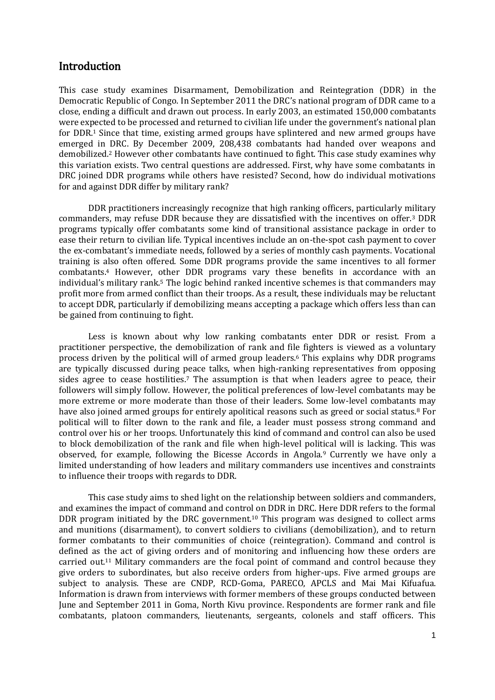#### **Introduction**

This case study examines Disarmament, Demobilization and Reintegration (DDR) in the Democratic Republic of Congo. In September 2011 the DRC's national program of DDR came to a close, ending a difficult and drawn out process. In early 2003, an estimated 150,000 combatants were expected to be processed and returned to civilian life under the government's national plan for DDR.<sup>1</sup> Since that time, existing armed groups have splintered and new armed groups have emerged in DRC. By December 2009, 208,438 combatants had handed over weapons and demobilized.<sup>2</sup> However other combatants have continued to fight. This case study examines why this variation exists. Two central questions are addressed. First, why have some combatants in DRC joined DDR programs while others have resisted? Second, how do individual motivations for and against DDR differ by military rank?

DDR practitioners increasingly recognize that high ranking officers, particularly military commanders, may refuse DDR because they are dissatisfied with the incentives on offer.<sup>3</sup> DDR programs typically offer combatants some kind of transitional assistance package in order to ease their return to civilian life. Typical incentives include an on-the-spot cash payment to cover the ex-combatant's immediate needs, followed by a series of monthly cash payments. Vocational training is also often offered. Some DDR programs provide the same incentives to all former combatants.<sup>4</sup> However, other DDR programs vary these benefits in accordance with an individual's military rank.<sup>5</sup> The logic behind ranked incentive schemes is that commanders may profit more from armed conflict than their troops. As a result, these individuals may be reluctant to accept DDR, particularly if demobilizing means accepting a package which offers less than can be gained from continuing to fight.

Less is known about why low ranking combatants enter DDR or resist. From a practitioner perspective, the demobilization of rank and file fighters is viewed as a voluntary process driven by the political will of armed group leaders. <sup>6</sup> This explains why DDR programs are typically discussed during peace talks, when high-ranking representatives from opposing sides agree to cease hostilities.<sup>7</sup> The assumption is that when leaders agree to peace, their followers will simply follow. However, the political preferences of low-level combatants may be more extreme or more moderate than those of their leaders. Some low-level combatants may have also joined armed groups for entirely apolitical reasons such as greed or social status.<sup>8</sup> For political will to filter down to the rank and file, a leader must possess strong command and control over his or her troops. Unfortunately this kind of command and control can also be used to block demobilization of the rank and file when high-level political will is lacking. This was observed, for example, following the Bicesse Accords in Angola.<sup>9</sup> Currently we have only a limited understanding of how leaders and military commanders use incentives and constraints to influence their troops with regards to DDR.

This case study aims to shed light on the relationship between soldiers and commanders, and examines the impact of command and control on DDR in DRC. Here DDR refers to the formal DDR program initiated by the DRC government.<sup>10</sup> This program was designed to collect arms and munitions (disarmament), to convert soldiers to civilians (demobilization), and to return former combatants to their communities of choice (reintegration). Command and control is defined as the act of giving orders and of monitoring and influencing how these orders are carried out.<sup>11</sup> Military commanders are the focal point of command and control because they give orders to subordinates, but also receive orders from higher-ups. Five armed groups are subject to analysis. These are CNDP, RCD-Goma, PARECO, APCLS and Mai Mai Kifuafua. Information is drawn from interviews with former members of these groups conducted between June and September 2011 in Goma, North Kivu province. Respondents are former rank and file combatants, platoon commanders, lieutenants, sergeants, colonels and staff officers. This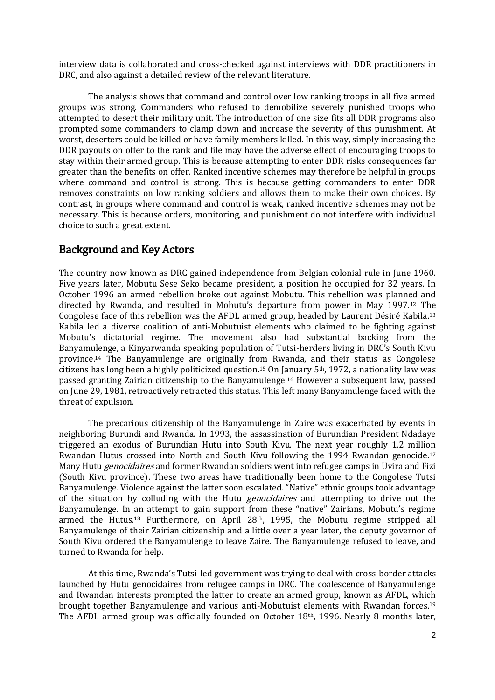interview data is collaborated and cross-checked against interviews with DDR practitioners in DRC, and also against a detailed review of the relevant literature.

The analysis shows that command and control over low ranking troops in all five armed groups was strong. Commanders who refused to demobilize severely punished troops who attempted to desert their military unit. The introduction of one size fits all DDR programs also prompted some commanders to clamp down and increase the severity of this punishment. At worst, deserters could be killed or have family members killed. In this way, simply increasing the DDR payouts on offer to the rank and file may have the adverse effect of encouraging troops to stay within their armed group. This is because attempting to enter DDR risks consequences far greater than the benefits on offer. Ranked incentive schemes may therefore be helpful in groups where command and control is strong. This is because getting commanders to enter DDR removes constraints on low ranking soldiers and allows them to make their own choices. By contrast, in groups where command and control is weak, ranked incentive schemes may not be necessary. This is because orders, monitoring, and punishment do not interfere with individual choice to such a great extent.

## Background and Key Actors

The country now known as DRC gained independence from Belgian colonial rule in June 1960. Five years later, Mobutu Sese Seko became president, a position he occupied for 32 years. In October 1996 an armed rebellion broke out against Mobutu. This rebellion was planned and directed by Rwanda, and resulted in Mobutu's departure from power in May 1997.<sup>12</sup> The Congolese face of this rebellion was the AFDL armed group, headed by Laurent Désiré Kabila.<sup>13</sup> Kabila led a diverse coalition of anti-Mobutuist elements who claimed to be fighting against Mobutu's dictatorial regime. The movement also had substantial backing from the Banyamulenge, a Kinyarwanda speaking population of Tutsi-herders living in DRC's South Kivu province.<sup>14</sup> The Banyamulenge are originally from Rwanda, and their status as Congolese citizens has long been a highly politicized question.<sup>15</sup> On January 5th, 1972, a nationality law was passed granting Zairian citizenship to the Banyamulenge.<sup>16</sup> However a subsequent law, passed on June 29, 1981, retroactively retracted this status. This left many Banyamulenge faced with the threat of expulsion.

The precarious citizenship of the Banyamulenge in Zaire was exacerbated by events in neighboring Burundi and Rwanda. In 1993, the assassination of Burundian President Ndadaye triggered an exodus of Burundian Hutu into South Kivu. The next year roughly 1.2 million Rwandan Hutus crossed into North and South Kivu following the 1994 Rwandan genocide.<sup>17</sup> Many Hutu *genocidaires* and former Rwandan soldiers went into refugee camps in Uvira and Fizi (South Kivu province). These two areas have traditionally been home to the Congolese Tutsi Banyamulenge. Violence against the latter soon escalated. "Native" ethnic groups took advantage of the situation by colluding with the Hutu *genocidaires* and attempting to drive out the Banyamulenge. In an attempt to gain support from these "native" Zairians, Mobutu's regime armed the Hutus.<sup>18</sup> Furthermore, on April 28th, 1995, the Mobutu regime stripped all Banyamulenge of their Zairian citizenship and a little over a year later, the deputy governor of South Kivu ordered the Banyamulenge to leave Zaire. The Banyamulenge refused to leave, and turned to Rwanda for help.

At this time, Rwanda's Tutsi-led government was trying to deal with cross-border attacks launched by Hutu genocidaires from refugee camps in DRC. The coalescence of Banyamulenge and Rwandan interests prompted the latter to create an armed group, known as AFDL, which brought together Banyamulenge and various anti-Mobutuist elements with Rwandan forces.<sup>19</sup> The AFDL armed group was officially founded on October 18th, 1996. Nearly 8 months later,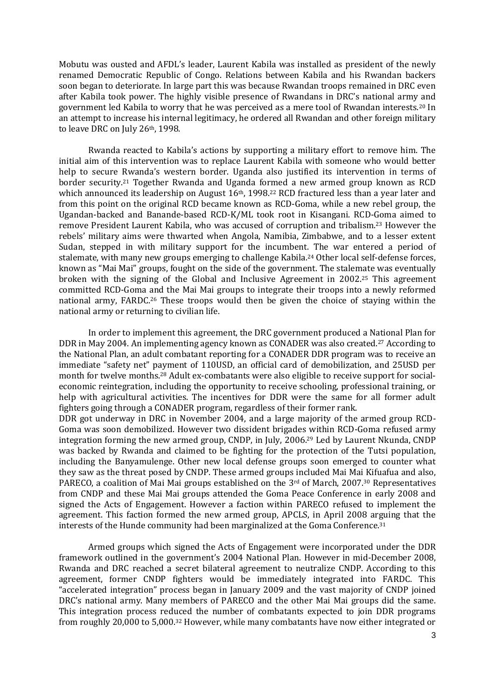Mobutu was ousted and AFDL's leader, Laurent Kabila was installed as president of the newly renamed Democratic Republic of Congo. Relations between Kabila and his Rwandan backers soon began to deteriorate. In large part this was because Rwandan troops remained in DRC even after Kabila took power. The highly visible presence of Rwandans in DRC's national army and government led Kabila to worry that he was perceived as a mere tool of Rwandan interests.<sup>20</sup> In an attempt to increase his internal legitimacy, he ordered all Rwandan and other foreign military to leave DRC on July 26th, 1998.

Rwanda reacted to Kabila's actions by supporting a military effort to remove him. The initial aim of this intervention was to replace Laurent Kabila with someone who would better help to secure Rwanda's western border. Uganda also justified its intervention in terms of border security.<sup>21</sup> Together Rwanda and Uganda formed a new armed group known as RCD which announced its leadership on August  $16<sup>th</sup>$ , 1998.<sup>22</sup> RCD fractured less than a year later and from this point on the original RCD became known as RCD-Goma, while a new rebel group, the Ugandan-backed and Banande-based RCD-K/ML took root in Kisangani. RCD-Goma aimed to remove President Laurent Kabila, who was accused of corruption and tribalism.<sup>23</sup> However the rebels' military aims were thwarted when Angola, Namibia, Zimbabwe, and to a lesser extent Sudan, stepped in with military support for the incumbent. The war entered a period of stalemate, with many new groups emerging to challenge Kabila.<sup>24</sup> Other local self-defense forces, known as "Mai Mai" groups, fought on the side of the government. The stalemate was eventually broken with the signing of the Global and Inclusive Agreement in 2002.<sup>25</sup> This agreement committed RCD-Goma and the Mai Mai groups to integrate their troops into a newly reformed national army, FARDC.<sup>26</sup> These troops would then be given the choice of staying within the national army or returning to civilian life.

In order to implement this agreement, the DRC government produced a National Plan for DDR in May 2004. An implementing agency known as CONADER was also created.<sup>27</sup> According to the National Plan, an adult combatant reporting for a CONADER DDR program was to receive an immediate "safety net" payment of 110USD, an official card of demobilization, and 25USD per month for twelve months.<sup>28</sup> Adult ex-combatants were also eligible to receive support for socialeconomic reintegration, including the opportunity to receive schooling, professional training, or help with agricultural activities. The incentives for DDR were the same for all former adult fighters going through a CONADER program, regardless of their former rank. DDR got underway in DRC in November 2004, and a large majority of the armed group RCD-Goma was soon demobilized. However two dissident brigades within RCD-Goma refused army integration forming the new armed group, CNDP, in July, 2006.<sup>29</sup> Led by Laurent Nkunda, CNDP was backed by Rwanda and claimed to be fighting for the protection of the Tutsi population, including the Banyamulenge. Other new local defense groups soon emerged to counter what they saw as the threat posed by CNDP. These armed groups included Mai Mai Kifuafua and also, PARECO, a coalition of Mai Mai groups established on the  $3<sup>rd</sup>$  of March, 2007.<sup>30</sup> Representatives

from CNDP and these Mai Mai groups attended the Goma Peace Conference in early 2008 and signed the Acts of Engagement. However a faction within PARECO refused to implement the agreement. This faction formed the new armed group, APCLS, in April 2008 arguing that the interests of the Hunde community had been marginalized at the Goma Conference.<sup>31</sup>

Armed groups which signed the Acts of Engagement were incorporated under the DDR framework outlined in the government's 2004 National Plan. However in mid-December 2008, Rwanda and DRC reached a secret bilateral agreement to neutralize CNDP. According to this agreement, former CNDP fighters would be immediately integrated into FARDC. This "accelerated integration" process began in January 2009 and the vast majority of CNDP joined DRC's national army. Many members of PARECO and the other Mai Mai groups did the same. This integration process reduced the number of combatants expected to join DDR programs from roughly 20,000 to 5,000.<sup>32</sup> However, while many combatants have now either integrated or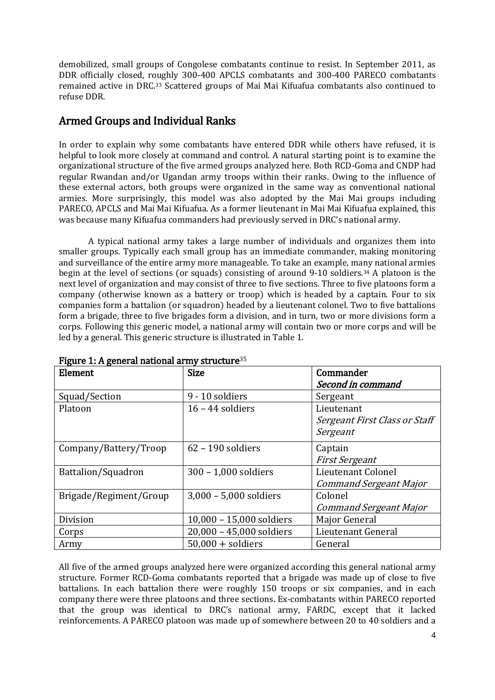demobilized, small groups of Congolese combatants continue to resist. In September 2011, as DDR officially closed, roughly 300-400 APCLS combatants and 300-400 PARECO combatants remained active in DRC.<sup>33</sup> Scattered groups of Mai Mai Kifuafua combatants also continued to refuse DDR.

# Armed Groups and Individual Ranks

In order to explain why some combatants have entered DDR while others have refused, it is helpful to look more closely at command and control. A natural starting point is to examine the organizational structure of the five armed groups analyzed here. Both RCD-Goma and CNDP had regular Rwandan and/or Ugandan army troops within their ranks. Owing to the influence of these external actors, both groups were organized in the same way as conventional national armies. More surprisingly, this model was also adopted by the Mai Mai groups including PARECO, APCLS and Mai Mai Kifuafua. As a former lieutenant in Mai Mai Kifuafua explained, this was because many Kifuafua commanders had previously served in DRC's national army.

A typical national army takes a large number of individuals and organizes them into smaller groups. Typically each small group has an immediate commander, making monitoring and surveillance of the entire army more manageable. To take an example, many national armies begin at the level of sections (or squads) consisting of around 9-10 soldiers.<sup>34</sup> A platoon is the next level of organization and may consist of three to five sections. Three to five platoons form a company (otherwise known as a battery or troop) which is headed by a captain. Four to six companies form a battalion (or squadron) headed by a lieutenant colonel. Two to five battalions form a brigade, three to five brigades form a division, and in turn, two or more divisions form a corps. Following this generic model, a national army will contain two or more corps and will be led by a general. This generic structure is illustrated in Table 1.

| Element                | <b>Size</b>              | Commander                     |
|------------------------|--------------------------|-------------------------------|
|                        |                          | Second in command             |
| Squad/Section          | 9 - 10 soldiers          | Sergeant                      |
| Platoon                | $16 - 44$ soldiers       | Lieutenant                    |
|                        |                          | Sergeant First Class or Staff |
|                        |                          | Sergeant                      |
| Company/Battery/Troop  | $62 - 190$ soldiers      | Captain                       |
|                        |                          | <b>First Sergeant</b>         |
| Battalion/Squadron     | 300 - 1,000 soldiers     | Lieutenant Colonel            |
|                        |                          | <b>Command Sergeant Major</b> |
| Brigade/Regiment/Group | 3,000 - 5,000 soldiers   | Colonel                       |
|                        |                          | <b>Command Sergeant Major</b> |
| Division               | 10,000 - 15,000 soldiers | Major General                 |
| Corps                  | 20,000 - 45,000 soldiers | Lieutenant General            |
| Army                   | $50,000 +$ soldiers      | General                       |

#### Figure 1:  $\Delta$  general national army structure  $35$

All five of the armed groups analyzed here were organized according this general national army structure. Former RCD-Goma combatants reported that a brigade was made up of close to five battalions. In each battalion there were roughly 150 troops or six companies, and in each company there were three platoons and three sections. Ex-combatants within PARECO reported that the group was identical to DRC's national army, FARDC, except that it lacked reinforcements. A PARECO platoon was made up of somewhere between 20 to 40 soldiers and a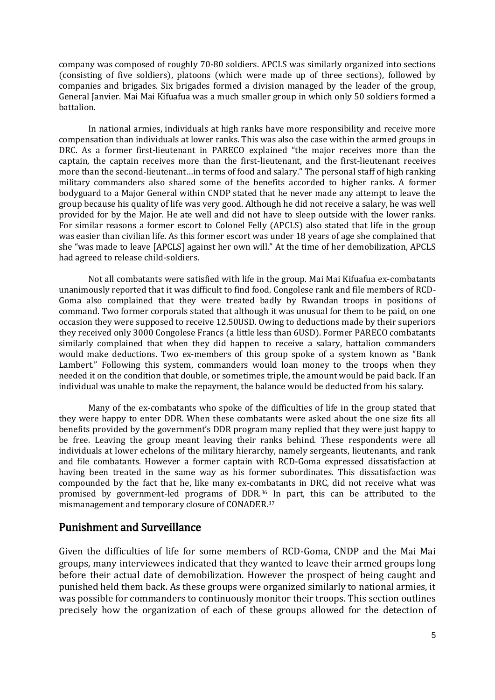company was composed of roughly 70-80 soldiers. APCLS was similarly organized into sections (consisting of five soldiers), platoons (which were made up of three sections), followed by companies and brigades. Six brigades formed a division managed by the leader of the group, General Janvier. Mai Mai Kifuafua was a much smaller group in which only 50 soldiers formed a battalion.

In national armies, individuals at high ranks have more responsibility and receive more compensation than individuals at lower ranks. This was also the case within the armed groups in DRC. As a former first-lieutenant in PARECO explained "the major receives more than the captain, the captain receives more than the first-lieutenant, and the first-lieutenant receives more than the second-lieutenant…in terms of food and salary." The personal staff of high ranking military commanders also shared some of the benefits accorded to higher ranks. A former bodyguard to a Major General within CNDP stated that he never made any attempt to leave the group because his quality of life was very good. Although he did not receive a salary, he was well provided for by the Major. He ate well and did not have to sleep outside with the lower ranks. For similar reasons a former escort to Colonel Felly (APCLS) also stated that life in the group was easier than civilian life. As this former escort was under 18 years of age she complained that she "was made to leave [APCLS] against her own will." At the time of her demobilization, APCLS had agreed to release child-soldiers.

Not all combatants were satisfied with life in the group. Mai Mai Kifuafua ex-combatants unanimously reported that it was difficult to find food. Congolese rank and file members of RCD-Goma also complained that they were treated badly by Rwandan troops in positions of command. Two former corporals stated that although it was unusual for them to be paid, on one occasion they were supposed to receive 12.50USD. Owing to deductions made by their superiors they received only 3000 Congolese Francs (a little less than 6USD). Former PARECO combatants similarly complained that when they did happen to receive a salary, battalion commanders would make deductions. Two ex-members of this group spoke of a system known as "Bank Lambert." Following this system, commanders would loan money to the troops when they needed it on the condition that double, or sometimes triple, the amount would be paid back. If an individual was unable to make the repayment, the balance would be deducted from his salary.

Many of the ex-combatants who spoke of the difficulties of life in the group stated that they were happy to enter DDR. When these combatants were asked about the one size fits all benefits provided by the government's DDR program many replied that they were just happy to be free. Leaving the group meant leaving their ranks behind. These respondents were all individuals at lower echelons of the military hierarchy, namely sergeants, lieutenants, and rank and file combatants. However a former captain with RCD-Goma expressed dissatisfaction at having been treated in the same way as his former subordinates. This dissatisfaction was compounded by the fact that he, like many ex-combatants in DRC, did not receive what was promised by government-led programs of DDR.<sup>36</sup> In part, this can be attributed to the mismanagement and temporary closure of CONADER.<sup>37</sup>

#### Punishment and Surveillance

Given the difficulties of life for some members of RCD-Goma, CNDP and the Mai Mai groups, many interviewees indicated that they wanted to leave their armed groups long before their actual date of demobilization. However the prospect of being caught and punished held them back. As these groups were organized similarly to national armies, it was possible for commanders to continuously monitor their troops. This section outlines precisely how the organization of each of these groups allowed for the detection of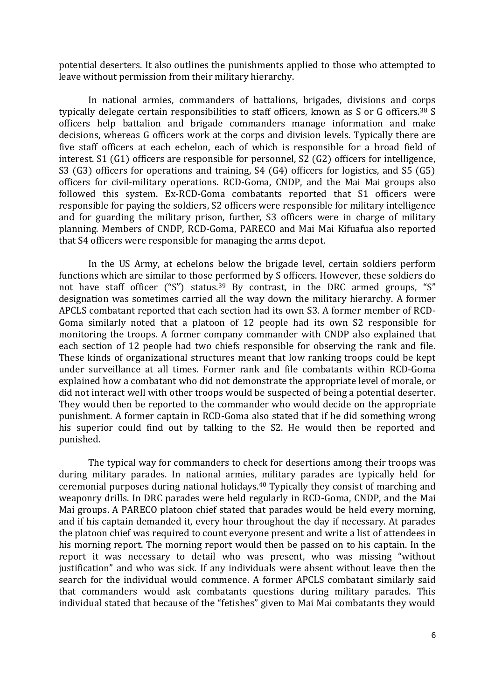potential deserters. It also outlines the punishments applied to those who attempted to leave without permission from their military hierarchy.

In national armies, commanders of battalions, brigades, divisions and corps typically delegate certain responsibilities to staff officers, known as S or G officers.<sup>38</sup> S officers help battalion and brigade commanders manage information and make decisions, whereas G officers work at the corps and division levels. Typically there are five staff officers at each echelon, each of which is responsible for a broad field of interest. S1 (G1) officers are responsible for personnel, S2 (G2) officers for intelligence, S3 (G3) officers for operations and training, S4 (G4) officers for logistics, and S5 (G5) officers for civil-military operations. RCD-Goma, CNDP, and the Mai Mai groups also followed this system. Ex-RCD-Goma combatants reported that S1 officers were responsible for paying the soldiers, S2 officers were responsible for military intelligence and for guarding the military prison, further, S3 officers were in charge of military planning. Members of CNDP, RCD-Goma, PARECO and Mai Mai Kifuafua also reported that S4 officers were responsible for managing the arms depot.

In the US Army, at echelons below the brigade level, certain soldiers perform functions which are similar to those performed by S officers. However, these soldiers do not have staff officer ("S") status.<sup>39</sup> By contrast, in the DRC armed groups, "S" designation was sometimes carried all the way down the military hierarchy. A former APCLS combatant reported that each section had its own S3. A former member of RCD-Goma similarly noted that a platoon of 12 people had its own S2 responsible for monitoring the troops. A former company commander with CNDP also explained that each section of 12 people had two chiefs responsible for observing the rank and file. These kinds of organizational structures meant that low ranking troops could be kept under surveillance at all times. Former rank and file combatants within RCD-Goma explained how a combatant who did not demonstrate the appropriate level of morale, or did not interact well with other troops would be suspected of being a potential deserter. They would then be reported to the commander who would decide on the appropriate punishment. A former captain in RCD-Goma also stated that if he did something wrong his superior could find out by talking to the S2. He would then be reported and punished.

The typical way for commanders to check for desertions among their troops was during military parades. In national armies, military parades are typically held for ceremonial purposes during national holidays.<sup>40</sup> Typically they consist of marching and weaponry drills. In DRC parades were held regularly in RCD-Goma, CNDP, and the Mai Mai groups. A PARECO platoon chief stated that parades would be held every morning, and if his captain demanded it, every hour throughout the day if necessary. At parades the platoon chief was required to count everyone present and write a list of attendees in his morning report. The morning report would then be passed on to his captain. In the report it was necessary to detail who was present, who was missing "without justification" and who was sick. If any individuals were absent without leave then the search for the individual would commence. A former APCLS combatant similarly said that commanders would ask combatants questions during military parades. This individual stated that because of the "fetishes" given to Mai Mai combatants they would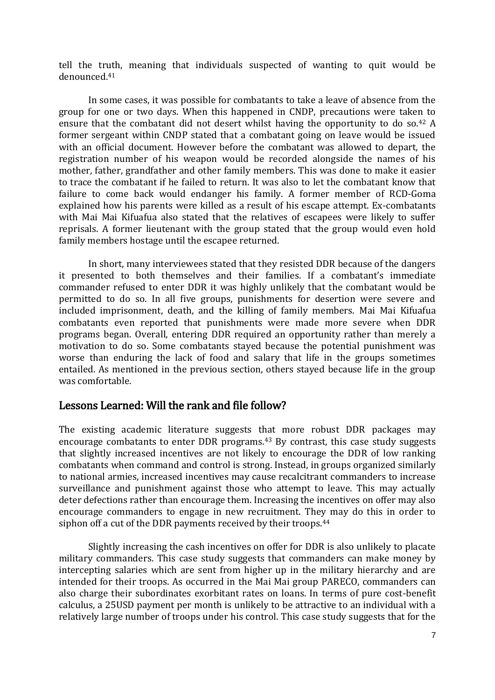tell the truth, meaning that individuals suspected of wanting to quit would be denounced.<sup>41</sup>

In some cases, it was possible for combatants to take a leave of absence from the group for one or two days. When this happened in CNDP, precautions were taken to ensure that the combatant did not desert whilst having the opportunity to do so.<sup>42</sup> A former sergeant within CNDP stated that a combatant going on leave would be issued with an official document. However before the combatant was allowed to depart, the registration number of his weapon would be recorded alongside the names of his mother, father, grandfather and other family members. This was done to make it easier to trace the combatant if he failed to return. It was also to let the combatant know that failure to come back would endanger his family. A former member of RCD-Goma explained how his parents were killed as a result of his escape attempt. Ex-combatants with Mai Mai Kifuafua also stated that the relatives of escapees were likely to suffer reprisals. A former lieutenant with the group stated that the group would even hold family members hostage until the escapee returned.

In short, many interviewees stated that they resisted DDR because of the dangers it presented to both themselves and their families. If a combatant's immediate commander refused to enter DDR it was highly unlikely that the combatant would be permitted to do so. In all five groups, punishments for desertion were severe and included imprisonment, death, and the killing of family members. Mai Mai Kifuafua combatants even reported that punishments were made more severe when DDR programs began. Overall, entering DDR required an opportunity rather than merely a motivation to do so. Some combatants stayed because the potential punishment was worse than enduring the lack of food and salary that life in the groups sometimes entailed. As mentioned in the previous section, others stayed because life in the group was comfortable.

## Lessons Learned: Will the rank and file follow?

The existing academic literature suggests that more robust DDR packages may encourage combatants to enter DDR programs.<sup>43</sup> By contrast, this case study suggests that slightly increased incentives are not likely to encourage the DDR of low ranking combatants when command and control is strong. Instead, in groups organized similarly to national armies, increased incentives may cause recalcitrant commanders to increase surveillance and punishment against those who attempt to leave. This may actually deter defections rather than encourage them. Increasing the incentives on offer may also encourage commanders to engage in new recruitment. They may do this in order to siphon off a cut of the DDR payments received by their troops.<sup>44</sup>

Slightly increasing the cash incentives on offer for DDR is also unlikely to placate military commanders. This case study suggests that commanders can make money by intercepting salaries which are sent from higher up in the military hierarchy and are intended for their troops. As occurred in the Mai Mai group PARECO, commanders can also charge their subordinates exorbitant rates on loans. In terms of pure cost-benefit calculus, a 25USD payment per month is unlikely to be attractive to an individual with a relatively large number of troops under his control. This case study suggests that for the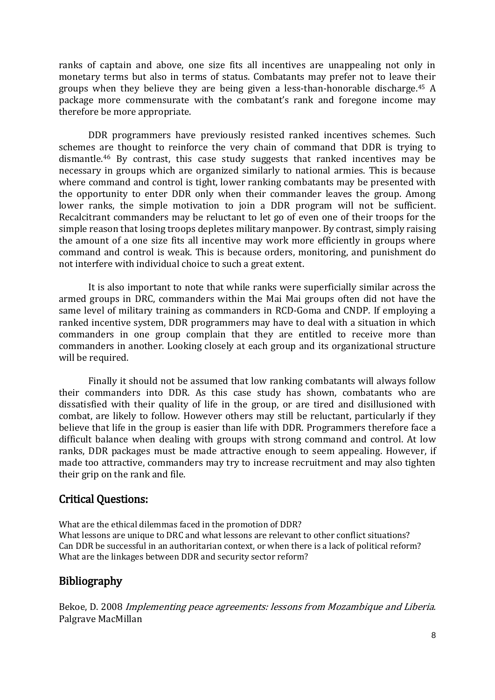ranks of captain and above, one size fits all incentives are unappealing not only in monetary terms but also in terms of status. Combatants may prefer not to leave their groups when they believe they are being given a less-than-honorable discharge.<sup>45</sup> A package more commensurate with the combatant's rank and foregone income may therefore be more appropriate.

DDR programmers have previously resisted ranked incentives schemes. Such schemes are thought to reinforce the very chain of command that DDR is trying to dismantle.<sup>46</sup> By contrast, this case study suggests that ranked incentives may be necessary in groups which are organized similarly to national armies. This is because where command and control is tight, lower ranking combatants may be presented with the opportunity to enter DDR only when their commander leaves the group. Among lower ranks, the simple motivation to join a DDR program will not be sufficient. Recalcitrant commanders may be reluctant to let go of even one of their troops for the simple reason that losing troops depletes military manpower. By contrast, simply raising the amount of a one size fits all incentive may work more efficiently in groups where command and control is weak. This is because orders, monitoring, and punishment do not interfere with individual choice to such a great extent.

It is also important to note that while ranks were superficially similar across the armed groups in DRC, commanders within the Mai Mai groups often did not have the same level of military training as commanders in RCD-Goma and CNDP. If employing a ranked incentive system, DDR programmers may have to deal with a situation in which commanders in one group complain that they are entitled to receive more than commanders in another. Looking closely at each group and its organizational structure will be required.

Finally it should not be assumed that low ranking combatants will always follow their commanders into DDR. As this case study has shown, combatants who are dissatisfied with their quality of life in the group, or are tired and disillusioned with combat, are likely to follow. However others may still be reluctant, particularly if they believe that life in the group is easier than life with DDR. Programmers therefore face a difficult balance when dealing with groups with strong command and control. At low ranks, DDR packages must be made attractive enough to seem appealing. However, if made too attractive, commanders may try to increase recruitment and may also tighten their grip on the rank and file.

# Critical Questions:

What are the ethical dilemmas faced in the promotion of DDR? What lessons are unique to DRC and what lessons are relevant to other conflict situations? Can DDR be successful in an authoritarian context, or when there is a lack of political reform? What are the linkages between DDR and security sector reform?

# Bibliography

Bekoe, D. 2008 Implementing peace agreements: lessons from Mozambique and Liberia. Palgrave MacMillan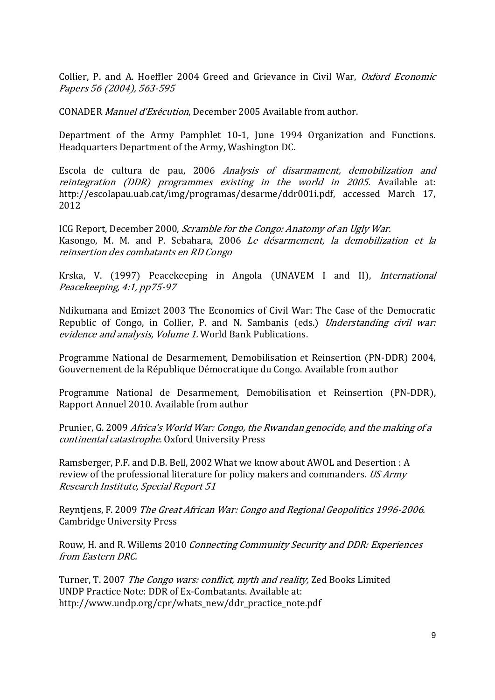Collier, P. and A. Hoeffler 2004 Greed and Grievance in Civil War, Oxford Economic Papers 56 (2004), 563-595

CONADER Manuel d'Exécution, December 2005 Available from author.

Department of the Army Pamphlet 10-1, June 1994 Organization and Functions. Headquarters Department of the Army, Washington DC.

Escola de cultura de pau, 2006 Analysis of disarmament, demobilization and reintegration (DDR) programmes existing in the world in 2005. Available at: [http://escolapau.uab.cat/img/programas/desarme/ddr001i.pdf,](http://escolapau.uab.cat/img/programas/desarme/ddr001i.pdf) accessed March 17, 2012

ICG Report, December 2000, Scramble for the Congo: Anatomy of an Ugly War. Kasongo, M. M. and P. Sebahara, 2006 Le désarmement, la demobilization et la reinsertion des combatants en RD Congo

Krska, V. (1997) Peacekeeping in Angola (UNAVEM I and II), International Peacekeeping, 4:1, pp75-97

Ndikumana and Emizet 2003 The Economics of Civil War: The Case of the Democratic Republic of Congo, in Collier, P. and N. Sambanis (eds.) *Understanding civil war:* evidence and analysis, Volume 1. World Bank Publications.

Programme National de Desarmement, Demobilisation et Reinsertion (PN-DDR) 2004, Gouvernement de la République Démocratique du Congo. Available from author

Programme National de Desarmement, Demobilisation et Reinsertion (PN-DDR), Rapport Annuel 2010. Available from author

Prunier, G. 2009 Africa's World War: Congo, the Rwandan genocide, and the making of a continental catastrophe. Oxford University Press

Ramsberger, P.F. and D.B. Bell, 2002 What we know about AWOL and Desertion : A review of the professional literature for policy makers and commanders. US Army Research Institute, Special Report 51

Reyntjens, F. 2009 The Great African War: Congo and Regional Geopolitics 1996-2006. Cambridge University Press

Rouw, H. and R. Willems 2010 Connecting Community Security and DDR: Experiences from Eastern DRC.

Turner, T. 2007 The Congo wars: conflict, myth and reality, Zed Books Limited UNDP Practice Note: DDR of Ex-Combatants. Available at: http://www.undp.org/cpr/whats\_new/ddr\_practice\_note.pdf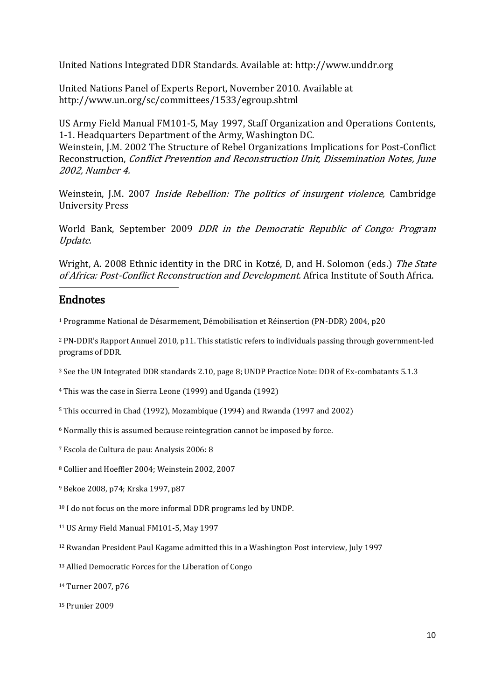United Nations Integrated DDR Standards. Available at: [http://www.unddr.org](http://www.unddr.org/)

United Nations Panel of Experts Report, November 2010. Available at http://www.un.org/sc/committees/1533/egroup.shtml

US Army Field Manual FM101-5, May 1997, Staff Organization and Operations Contents, 1-1. Headquarters Department of the Army, Washington DC. Weinstein, J.M. 2002 The Structure of Rebel Organizations Implications for Post-Conflict Reconstruction, Conflict Prevention and Reconstruction Unit, Dissemination Notes, June 2002, Number 4.

Weinstein, J.M. 2007 *Inside Rebellion: The politics of insurgent violence*, Cambridge University Press

World Bank, September 2009 DDR in the Democratic Republic of Congo: Program Update.

Wright, A. 2008 Ethnic identity in the DRC in Kotzé, D, and H. Solomon (eds.) The State of Africa: Post-Conflict Reconstruction and Development. Africa Institute of South Africa.

## Endnotes

1

<sup>1</sup> Programme National de Désarmement, Démobilisation et Réinsertion (PN-DDR) 2004, p20

<sup>2</sup> PN-DDR's Rapport Annuel 2010, p11. This statistic refers to individuals passing through government-led programs of DDR.

<sup>3</sup> See the UN Integrated DDR standards 2.10, page 8; UNDP Practice Note: DDR of Ex-combatants 5.1.3

<sup>4</sup> This was the case in Sierra Leone (1999) and Uganda (1992)

<sup>5</sup> This occurred in Chad (1992), Mozambique (1994) and Rwanda (1997 and 2002)

<sup>6</sup> Normally this is assumed because reintegration cannot be imposed by force.

<sup>7</sup> Escola de Cultura de pau: Analysis 2006: 8

<sup>8</sup> Collier and Hoeffler 2004; Weinstein 2002, 2007

<sup>9</sup> Bekoe 2008, p74; Krska 1997, p87

<sup>10</sup> I do not focus on the more informal DDR programs led by UNDP.

<sup>11</sup> US Army Field Manual FM101-5, May 1997

<sup>12</sup> Rwandan President Paul Kagame admitted this in a Washington Post interview, July 1997

<sup>13</sup> Allied Democratic Forces for the Liberation of Congo

<sup>14</sup> Turner 2007, p76

<sup>15</sup> Prunier 2009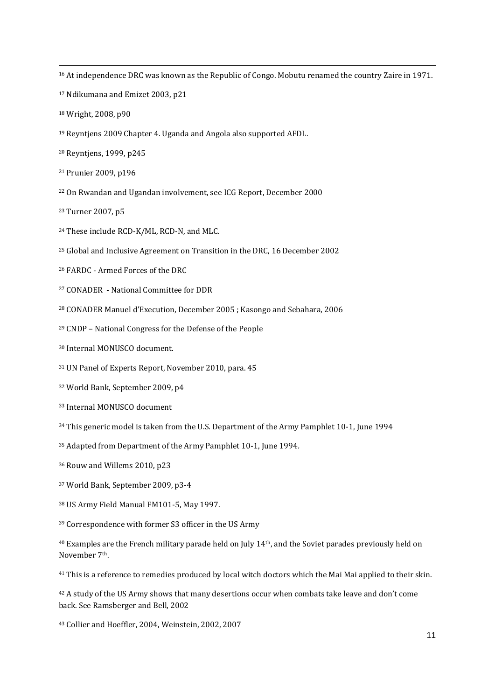<sup>16</sup> At independence DRC was known as the Republic of Congo. Mobutu renamed the country Zaire in 1971.

- Ndikumana and Emizet 2003, p21
- Wright, 2008, p90

**.** 

- Reyntjens 2009 Chapter 4. Uganda and Angola also supported AFDL.
- Reyntjens, 1999, p245
- Prunier 2009, p196
- On Rwandan and Ugandan involvement, see ICG Report, December 2000
- Turner 2007, p5
- These include RCD-K/ML, RCD-N, and MLC.
- Global and Inclusive Agreement on Transition in the DRC, 16 December 2002
- FARDC Armed Forces of the DRC
- CONADER National Committee for DDR
- CONADER Manuel d'Execution, December 2005 ; Kasongo and Sebahara, 2006
- CNDP National Congress for the Defense of the People
- Internal MONUSCO document.
- UN Panel of Experts Report, November 2010, para. 45
- World Bank, September 2009, p4
- Internal MONUSCO document
- This generic model is taken from the U.S. Department of the Army Pamphlet 10-1, June 1994
- Adapted from Department of the Army Pamphlet 10-1, June 1994.
- Rouw and Willems 2010, p23
- World Bank, September 2009, p3-4
- US Army Field Manual FM101-5, May 1997.
- Correspondence with former S3 officer in the US Army

 Examples are the French military parade held on July 14th, and the Soviet parades previously held on November 7th.

This is a reference to remedies produced by local witch doctors which the Mai Mai applied to their skin.

<sup>42</sup> A study of the US Army shows that many desertions occur when combats take leave and don't come back. See Ramsberger and Bell, 2002

Collier and Hoeffler, 2004, Weinstein, 2002, 2007